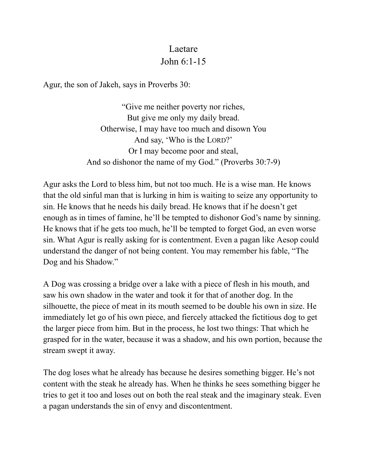## Laetare John 6:1-15

Agur, the son of Jakeh, says in Proverbs 30:

"Give me neither poverty nor riches, But give me only my daily bread. Otherwise, I may have too much and disown You And say, 'Who is the LORD?' Or I may become poor and steal, And so dishonor the name of my God." (Proverbs 30:7-9)

Agur asks the Lord to bless him, but not too much. He is a wise man. He knows that the old sinful man that is lurking in him is waiting to seize any opportunity to sin. He knows that he needs his daily bread. He knows that if he doesn't get enough as in times of famine, he'll be tempted to dishonor God's name by sinning. He knows that if he gets too much, he'll be tempted to forget God, an even worse sin. What Agur is really asking for is contentment. Even a pagan like Aesop could understand the danger of not being content. You may remember his fable, "The Dog and his Shadow."

A Dog was crossing a bridge over a lake with a piece of flesh in his mouth, and saw his own shadow in the water and took it for that of another dog. In the silhouette, the piece of meat in its mouth seemed to be double his own in size. He immediately let go of his own piece, and fiercely attacked the fictitious dog to get the larger piece from him. But in the process, he lost two things: That which he grasped for in the water, because it was a shadow, and his own portion, because the stream swept it away.

The dog loses what he already has because he desires something bigger. He's not content with the steak he already has. When he thinks he sees something bigger he tries to get it too and loses out on both the real steak and the imaginary steak. Even a pagan understands the sin of envy and discontentment.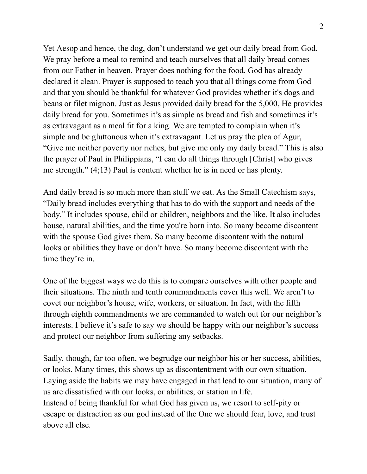Yet Aesop and hence, the dog, don't understand we get our daily bread from God. We pray before a meal to remind and teach ourselves that all daily bread comes from our Father in heaven. Prayer does nothing for the food. God has already declared it clean. Prayer is supposed to teach you that all things come from God and that you should be thankful for whatever God provides whether it's dogs and beans or filet mignon. Just as Jesus provided daily bread for the 5,000, He provides daily bread for you. Sometimes it's as simple as bread and fish and sometimes it's as extravagant as a meal fit for a king. We are tempted to complain when it's simple and be gluttonous when it's extravagant. Let us pray the plea of Agur, "Give me neither poverty nor riches, but give me only my daily bread." This is also the prayer of Paul in Philippians, "I can do all things through [Christ] who gives me strength." (4;13) Paul is content whether he is in need or has plenty.

And daily bread is so much more than stuff we eat. As the Small Catechism says, "Daily bread includes everything that has to do with the support and needs of the body." It includes spouse, child or children, neighbors and the like. It also includes house, natural abilities, and the time you're born into. So many become discontent with the spouse God gives them. So many become discontent with the natural looks or abilities they have or don't have. So many become discontent with the time they're in.

One of the biggest ways we do this is to compare ourselves with other people and their situations. The ninth and tenth commandments cover this well. We aren't to covet our neighbor's house, wife, workers, or situation. In fact, with the fifth through eighth commandments we are commanded to watch out for our neighbor's interests. I believe it's safe to say we should be happy with our neighbor's success and protect our neighbor from suffering any setbacks.

Sadly, though, far too often, we begrudge our neighbor his or her success, abilities, or looks. Many times, this shows up as discontentment with our own situation. Laying aside the habits we may have engaged in that lead to our situation, many of us are dissatisfied with our looks, or abilities, or station in life. Instead of being thankful for what God has given us, we resort to self-pity or escape or distraction as our god instead of the One we should fear, love, and trust above all else.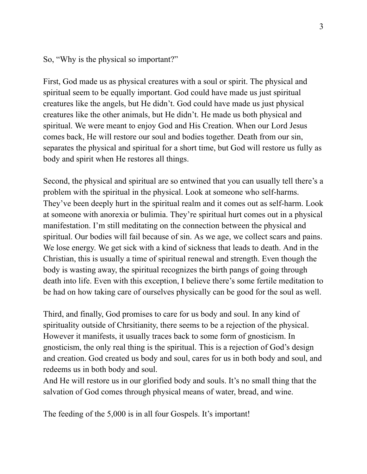So, "Why is the physical so important?"

First, God made us as physical creatures with a soul or spirit. The physical and spiritual seem to be equally important. God could have made us just spiritual creatures like the angels, but He didn't. God could have made us just physical creatures like the other animals, but He didn't. He made us both physical and spiritual. We were meant to enjoy God and His Creation. When our Lord Jesus comes back, He will restore our soul and bodies together. Death from our sin, separates the physical and spiritual for a short time, but God will restore us fully as body and spirit when He restores all things.

Second, the physical and spiritual are so entwined that you can usually tell there's a problem with the spiritual in the physical. Look at someone who self-harms. They've been deeply hurt in the spiritual realm and it comes out as self-harm. Look at someone with anorexia or bulimia. They're spiritual hurt comes out in a physical manifestation. I'm still meditating on the connection between the physical and spiritual. Our bodies will fail because of sin. As we age, we collect scars and pains. We lose energy. We get sick with a kind of sickness that leads to death. And in the Christian, this is usually a time of spiritual renewal and strength. Even though the body is wasting away, the spiritual recognizes the birth pangs of going through death into life. Even with this exception, I believe there's some fertile meditation to be had on how taking care of ourselves physically can be good for the soul as well.

Third, and finally, God promises to care for us body and soul. In any kind of spirituality outside of Chrsitianity, there seems to be a rejection of the physical. However it manifests, it usually traces back to some form of gnosticism. In gnosticism, the only real thing is the spiritual. This is a rejection of God's design and creation. God created us body and soul, cares for us in both body and soul, and redeems us in both body and soul.

And He will restore us in our glorified body and souls. It's no small thing that the salvation of God comes through physical means of water, bread, and wine.

The feeding of the 5,000 is in all four Gospels. It's important!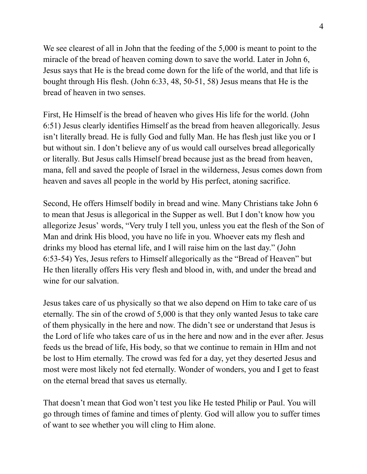We see clearest of all in John that the feeding of the 5,000 is meant to point to the miracle of the bread of heaven coming down to save the world. Later in John 6, Jesus says that He is the bread come down for the life of the world, and that life is bought through His flesh. (John 6:33, 48, 50-51, 58) Jesus means that He is the bread of heaven in two senses.

First, He Himself is the bread of heaven who gives His life for the world. (John 6:51) Jesus clearly identifies Himself as the bread from heaven allegorically. Jesus isn't literally bread. He is fully God and fully Man. He has flesh just like you or I but without sin. I don't believe any of us would call ourselves bread allegorically or literally. But Jesus calls Himself bread because just as the bread from heaven, mana, fell and saved the people of Israel in the wilderness, Jesus comes down from heaven and saves all people in the world by His perfect, atoning sacrifice.

Second, He offers Himself bodily in bread and wine. Many Christians take John 6 to mean that Jesus is allegorical in the Supper as well. But I don't know how you allegorize Jesus' words, "Very truly I tell you, unless you eat the flesh of the Son of Man and drink His blood, you have no life in you. Whoever eats my flesh and drinks my blood has eternal life, and I will raise him on the last day." (John 6:53-54) Yes, Jesus refers to Himself allegorically as the "Bread of Heaven" but He then literally offers His very flesh and blood in, with, and under the bread and wine for our salvation.

Jesus takes care of us physically so that we also depend on Him to take care of us eternally. The sin of the crowd of 5,000 is that they only wanted Jesus to take care of them physically in the here and now. The didn't see or understand that Jesus is the Lord of life who takes care of us in the here and now and in the ever after. Jesus feeds us the bread of life, His body, so that we continue to remain in HIm and not be lost to Him eternally. The crowd was fed for a day, yet they deserted Jesus and most were most likely not fed eternally. Wonder of wonders, you and I get to feast on the eternal bread that saves us eternally.

That doesn't mean that God won't test you like He tested Philip or Paul. You will go through times of famine and times of plenty. God will allow you to suffer times of want to see whether you will cling to Him alone.